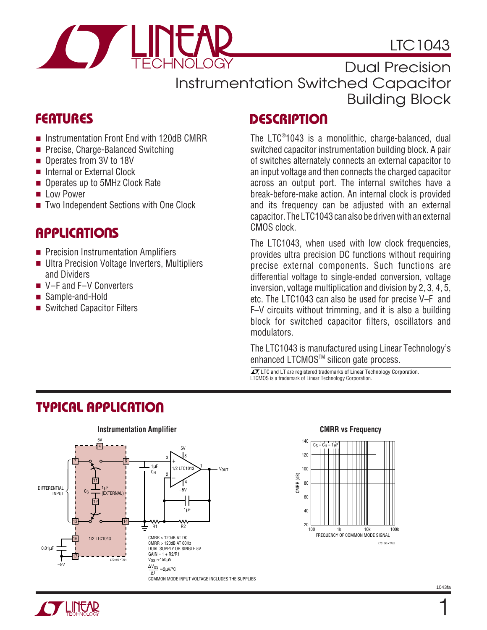

# LTC1043

Dual Precision Instrumentation Switched Capacitor Building Block

### **FEATURES**

- Instrumentation Front End with 120dB CMRR
- Precise, Charge-Balanced Switching
- Operates from 3V to 18V
- Internal or External Clock
- Operates up to 5MHz Clock Rate
- Low Power
- Two Independent Sections with One Clock

### **APPLICATIONS**

- Precision Instrumentation Amplifiers
- Ultra Precision Voltage Inverters, Multipliers and Dividers
- V–F and F–V Converters
- Sample-and-Hold
- Switched Capacitor Filters

### **DESCRIPTION**

The LTC® 1043 is a monolithic, charge-balanced, dual switched capacitor instrumentation building block. A pair of switches alternately connects an external capacitor to an input voltage and then connects the charged capacitor across an output port. The internal switches have a break-before-make action. An internal clock is provided and its frequency can be adjusted with an external capacitor. The LTC1043 can also be driven with an external CMOS clock.

The LTC1043, when used with low clock frequencies, provides ultra precision DC functions without requiring precise external components. Such functions are differential voltage to single-ended conversion, voltage inversion, voltage multiplication and division by 2, 3, 4, 5, etc. The LTC1043 can also be used for precise V–F and F–V circuits without trimming, and it is also a building block for switched capacitor filters, oscillators and modulators.

The LTC1043 is manufactured using Linear Technology's enhanced LTCMOS™ silicon gate process.

 $\sqrt{J}$ , LTC and LT are registered trademarks of Linear Technology Corporation. LTCMOS is a trademark of Linear Technology Corporation.



# **TYPICAL APPLICATIO U**



1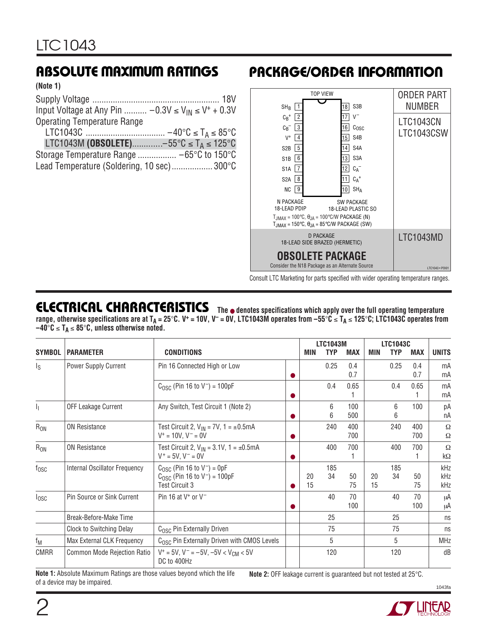**(Note 1)**

Supply Voltage ........................................................ 18V Input Voltage at Any Pin ..........  $-0.3V \leq V_{IN} \leq V^+ + 0.3V$ Operating Temperature Range

|                     | $40^{\circ}$ C $\leq$ T <sub>A</sub> $\leq$ 85 $^{\circ}$ C |
|---------------------|-------------------------------------------------------------|
| LTC1043M (OBSOLETE) | $-55^{\circ}$ C $\leq$ T <sub>A</sub> $\leq$ 125°C          |

| $\blacksquare$                             |  |
|--------------------------------------------|--|
|                                            |  |
| Lead Temperature (Soldering, 10 sec) 300°C |  |

# **ABSOLUTE MAXIMUM RATINGS PACKAGE/ORDER INFORMATION**



Consult LTC Marketing for parts specified with wider operating temperature ranges.

### **ELECTRICAL CHARACTERISTICS The** ● **denotes specifications which apply over the full operating temperature range, otherwise specifications are at T<sub>A</sub> = 25°C. V<sup>+</sup> = 10V, V<sup>−</sup> = 0V, LTC1043M operates from –55°C ≤ T<sub>A</sub> ≤ 125°C; LTC1043C operates from –40**°**C** ≤ **TA** ≤ **85**°**C, unless otherwise noted.**

|                         |                               |                                                                                                                  |            | <b>LTC1043M</b> |            |            | <b>LTC1043C</b> |            |                   |
|-------------------------|-------------------------------|------------------------------------------------------------------------------------------------------------------|------------|-----------------|------------|------------|-----------------|------------|-------------------|
| <b>SYMBOL</b>           | <b>PARAMETER</b>              | <b>CONDITIONS</b>                                                                                                | <b>MIN</b> | <b>TYP</b>      | <b>MAX</b> | <b>MIN</b> | <b>TYP</b>      | <b>MAX</b> | <b>UNITS</b>      |
| $\mathsf{I}_\mathsf{S}$ | <b>Power Supply Current</b>   | Pin 16 Connected High or Low                                                                                     |            | 0.25            | 0.4<br>0.7 |            | 0.25            | 0.4<br>0.7 | mA<br>mA          |
|                         |                               | $C_{\text{OSC}}$ (Pin 16 to V <sup>-</sup> ) = 100pF                                                             |            | 0.4             | 0.65       |            | 0.4             | 0.65       | mA<br>mA          |
| h,                      | <b>OFF Leakage Current</b>    | Any Switch, Test Circuit 1 (Note 2)                                                                              |            | 6<br>6          | 100<br>500 |            | 6<br>6          | $100 -$    | рA<br>nA          |
| $R_{ON}$                | <b>ON Resistance</b>          | Test Circuit 2, $V_{IN}$ = 7V, 1 = $\pm$ 0.5mA<br>$V^+ = 10V$ , $V^- = 0V$                                       |            | 240             | 400<br>700 |            | 240             | 400<br>700 | Ω<br>Ω            |
| $R_{ON}$                | <b>ON Resistance</b>          | Test Circuit 2, $V_{IN} = 3.1V$ , 1 = ±0.5mA<br>$V^+ = 5V$ , $V^- = 0V$                                          |            | 400             | 700        |            | 400             | 700        | Ω<br>kΩ           |
| $f_{\rm OSC}$           | Internal Oscillator Frequency | $C0SC$ (Pin 16 to V <sup>-</sup> ) = 0pF<br>$C_{\text{OSC}}$ (Pin 16 to $V^-$ ) = 100pF<br><b>Test Circuit 3</b> | 20<br>15   | 185<br>34       | 50<br>75   | 20<br>15   | 185<br>34       | 50<br>75   | kHz<br>kHz<br>kHz |
| $I_{\text{OSC}}$        | Pin Source or Sink Current    | Pin 16 at $V^+$ or $V^-$                                                                                         |            | 40              | 70<br>100  |            | 40              | 70<br>100  | μA<br>μA          |
|                         | Break-Before-Make Time        |                                                                                                                  |            | 25              |            |            | 25              |            | ns                |
|                         | Clock to Switching Delay      | C <sub>OSC</sub> Pin Externally Driven                                                                           |            | 75              |            |            | 75              |            | ns                |
| $f_M$                   | Max External CLK Frequency    | C <sub>OSC</sub> Pin Externally Driven with CMOS Levels                                                          |            | 5               |            |            | 5               |            | <b>MHz</b>        |
| <b>CMRR</b>             | Common Mode Rejection Ratio   | $V^+$ = 5V, V <sup>-</sup> = -5V, -5V < V <sub>CM</sub> < 5V<br>DC to 400Hz                                      |            | 120             |            |            | 120             |            | dB                |

**Note 1:** Absolute Maximum Ratings are those values beyond which the life of a device may be impaired. **Note 2:** OFF leakage current is guaranteed but not tested at 25°C.



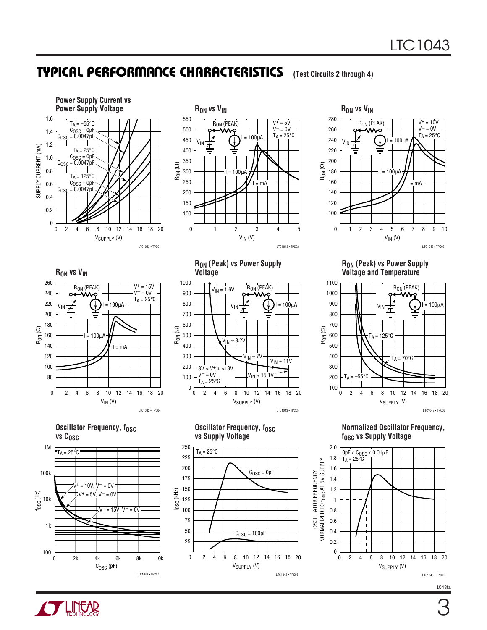### **TYPICAL PERFORMANCE CHARACTERISTICS** (Test Circuits 2 through 4)









**Oscillator Frequency, fosc** vs C<sub>OSC</sub>



**RON (Peak) vs Power Supply Voltage**



**Oscillator Frequency, fosc vs Supply Voltage**

V<sub>SUPPLY</sub> (V)

2 4 6 8 10 12 14 18 20

 $C<sub>OSC</sub> = 100pF$ 

 $C<sub>OSC</sub> = 0pF$ 

16

LTC1043 • TPC08

0

 $\frac{f_{\text{X}}}{f_{\text{S}}}$  150<br> $\frac{f_{\text{X}}}{f_{\text{S}}}$  125<br> $\frac{f_{\text{X}}}{f_{\text{S}}}$  100

100

125

50

25

75

200

175

250

 $T_A = 25^\circ \text{C}$ 

225

**RON (Peak) vs Power Supply Voltage and Temperature**



**Normalized Oscillator Frequency, fosc vs Supply Voltage** 



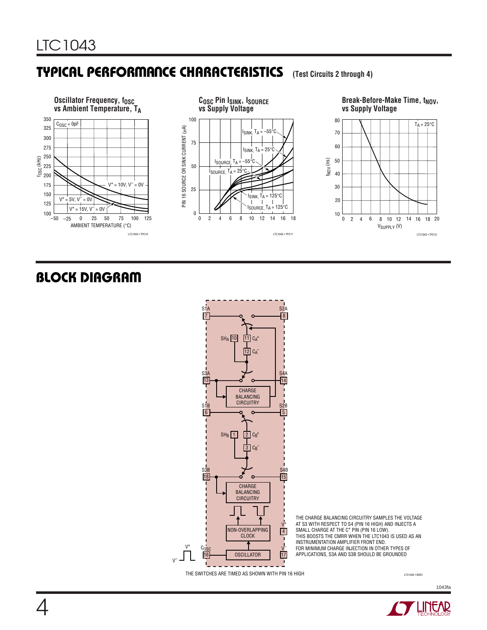# **TYPICAL PERFORMANCE CHARACTERISTICS** (Test Circuits 2 through 4)



# **BLOCK DIAGRAM**



THE CHARGE BALANCING CIRCUITRY SAMPLES THE VOLTAGE AT S3 WITH RESPECT TO S4 (PIN 16 HIGH) AND INJECTS A<br>SMALL CHARGE AT THE C† PIN (PIN 16 LOW).<br>THIS BOOSTS THE CMRR WHEN THE LTC1043 IS USED AS AN INSTRUMENTATION AMPLIFIER FRONT END. FOR MINIMUM CHARGE INJECTION IN OTHER TYPES OF APPLICATIONS, S3A AND S3B SHOULD BE GROUNDED

THE SWITCHES ARE TIMED AS SHOWN WITH PIN 16 HIGH

V–

LTC1043 • BD01

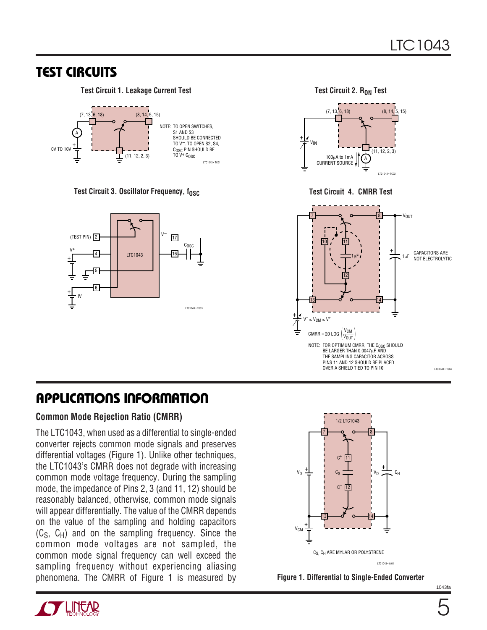### **TEST CIRCUITS**

**Test Circuit 1. Leakage Current Test**



Test Circuit 3. Oscillator Frequency, f<sub>OSC</sub> Test Circuit 4. CMRR Test



**Test Circuit 2. RON Test** 





# **APPLICATIONS INFORMATION**

### **Common Mode Rejection Ratio (CMRR)**

The LTC1043, when used as a differential to single-ended converter rejects common mode signals and preserves differential voltages (Figure 1). Unlike other techniques, the LTC1043's CMRR does not degrade with increasing common mode voltage frequency. During the sampling mode, the impedance of Pins 2, 3 (and 11, 12) should be reasonably balanced, otherwise, common mode signals will appear differentially. The value of the CMRR depends on the value of the sampling and holding capacitors  $(C<sub>S</sub>, C<sub>H</sub>)$  and on the sampling frequency. Since the common mode voltages are not sampled, the common mode signal frequency can well exceed the sampling frequency without experiencing aliasing phenomena. The CMRR of Figure 1 is measured by





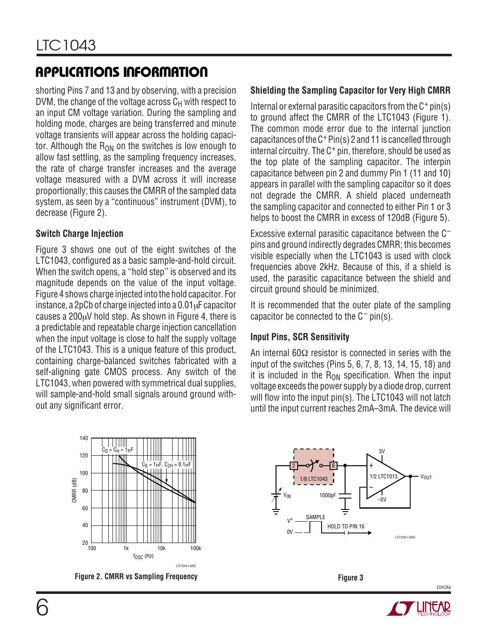# **APPLICATIONS INFORMATION**

shorting Pins 7 and 13 and by observing, with a precision DVM, the change of the voltage across  $C_H$  with respect to an input CM voltage variation. During the sampling and holding mode, charges are being transferred and minute voltage transients will appear across the holding capacitor. Although the  $R_{ON}$  on the switches is low enough to allow fast settling, as the sampling frequency increases, the rate of charge transfer increases and the average voltage measured with a DVM across it will increase proportionally; this causes the CMRR of the sampled data system, as seen by a "continuous" instrument (DVM), to decrease (Figure 2).

### **Switch Charge Injection**

Figure 3 shows one out of the eight switches of the LTC1043, configured as a basic sample-and-hold circuit. When the switch opens, a ''hold step'' is observed and its magnitude depends on the value of the input voltage. Figure 4 shows charge injected into the hold capacitor. For instance, a 2pCb of charge injected into a 0.01µF capacitor causes a 200µV hold step. As shown in Figure 4, there is a predictable and repeatable charge injection cancellation when the input voltage is close to half the supply voltage of the LTC1043. This is a unique feature of this product, containing charge-balanced switches fabricated with a self-aligning gate CMOS process. Any switch of the LTC1043, when powered with symmetrical dual supplies, will sample-and-hold small signals around ground without any significant error.

#### 140  $C_S = C_H = 1 \mu F$ 120 **THEFT**  $C_S = 1 \mu F$ ,  $C_{ZH} = 0.1 \mu F$ 100 CMRR (dB) 80 60 40  $20$ 100 1k 10k 100k  $f_{\rm OSC}$  (Hz) LTC1043 • AI02



### **Shielding the Sampling Capacitor for Very High CMRR**

Internal or external parasitic capacitors from the  $C^+$  pin(s) to ground affect the CMRR of the LTC1043 (Figure 1). The common mode error due to the internal junction capacitances of the C+Pin(s) 2 and 11 is cancelled through internal circuitry. The C<sup>+</sup> pin, therefore, should be used as the top plate of the sampling capacitor. The interpin capacitance between pin 2 and dummy Pin 1 (11 and 10) appears in parallel with the sampling capacitor so it does not degrade the CMRR. A shield placed underneath the sampling capacitor and connected to either Pin 1 or 3 helps to boost the CMRR in excess of 120dB (Figure 5).

Excessive external parasitic capacitance between the C– pins and ground indirectly degrades CMRR; this becomes visible especially when the LTC1043 is used with clock frequencies above 2kHz. Because of this, if a shield is used, the parasitic capacitance between the shield and circuit ground should be minimized.

It is recommended that the outer plate of the sampling capacitor be connected to the  $C^-$  pin(s).

### **Input Pins, SCR Sensitivity**

An internal 60Ω resistor is connected in series with the input of the switches (Pins 5, 6, 7, 8, 13, 14, 15, 18) and it is included in the  $R_{ON}$  specification. When the input voltage exceeds the power supply by a diode drop, current will flow into the input pin(s). The LTC1043 will not latch until the input current reaches 2mA–3mA. The device will



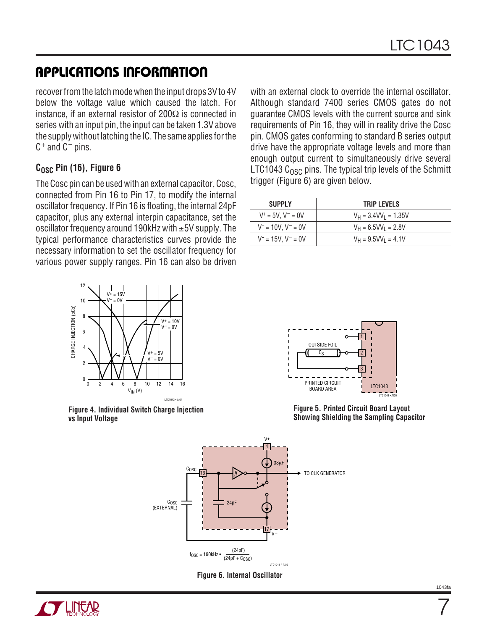# **APPLICATIONS INFORMATION**

recover from the latch mode when the input drops 3V to 4V below the voltage value which caused the latch. For instance, if an external resistor of 200Ω is connected in series with an input pin, the input can be taken 1.3V above the supply without latching the IC. The same applies for the  $C^+$  and  $C^-$  pins.

### C<sub>OSC</sub> Pin (16), Figure 6

The Cosc pin can be used with an external capacitor, Cosc, connected from Pin 16 to Pin 17, to modify the internal oscillator frequency. If Pin 16 is floating, the internal 24pF capacitor, plus any external interpin capacitance, set the oscillator frequency around 190kHz with ±5V supply. The typical performance characteristics curves provide the necessary information to set the oscillator frequency for various power supply ranges. Pin 16 can also be driven



**Figure 4. Individual Switch Charge Injection vs Input Voltage**

with an external clock to override the internal oscillator. Although standard 7400 series CMOS gates do not guarantee CMOS levels with the current source and sink requirements of Pin 16, they will in reality drive the Cosc pin. CMOS gates conforming to standard B series output drive have the appropriate voltage levels and more than enough output current to simultaneously drive several LTC1043  $C_{OSC}$  pins. The typical trip levels of the Schmitt trigger (Figure 6) are given below.

| <b>SUPPLY</b>            | <b>TRIP LEVELS</b>        |
|--------------------------|---------------------------|
| $V^+ = 5V$ . $V^- = 0V$  | $V_H = 3.4 VV_1 = 1.35 V$ |
| $V^+ = 10V$ . $V^- = 0V$ | $V_H = 6.5 VV_1 = 2.8 V$  |
| $V^+ = 15V$ , $V^- = 0V$ | $V_H = 9.5VV_1 = 4.1V$    |



**Figure 5. Printed Circuit Board Layout Showing Shielding the Sampling Capacitor**







7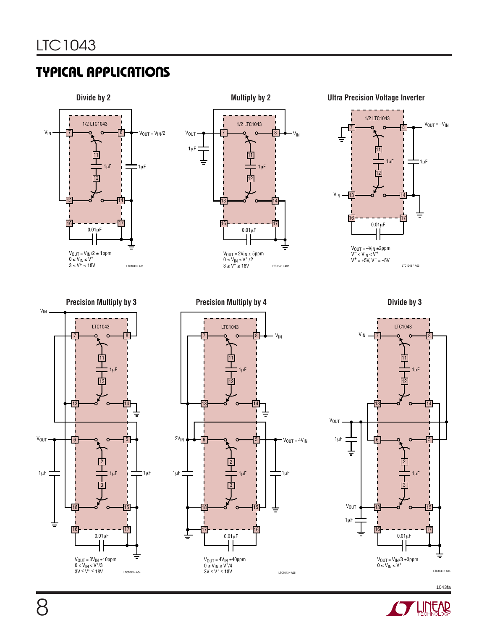

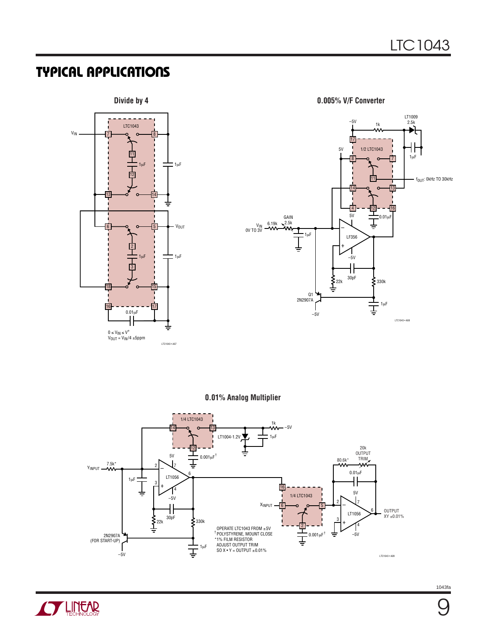



**0.01% Analog Multiplier**



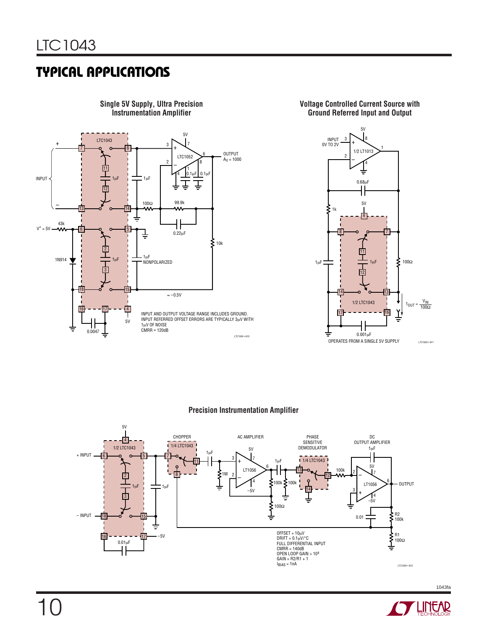

**Single 5V Supply, Ultra Precision Instrumentation Amplifier**





#### **Precision Instrumentation Amplifier**



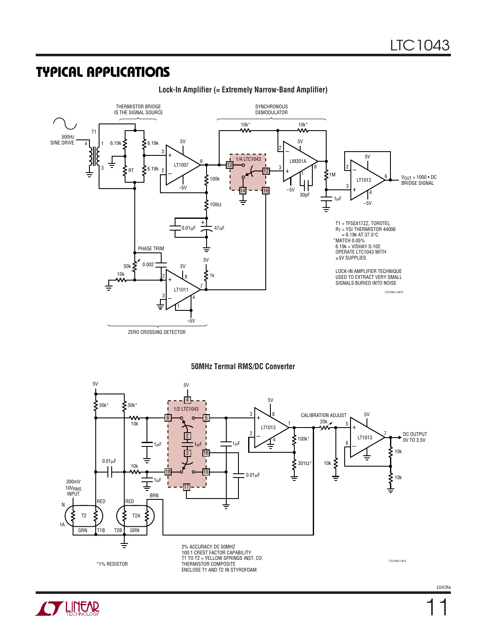

**Lock-In Amplifier (= Extremely Narrow-Band Amplifier)**

#### **50MHz Termal RMS/DC Converter**



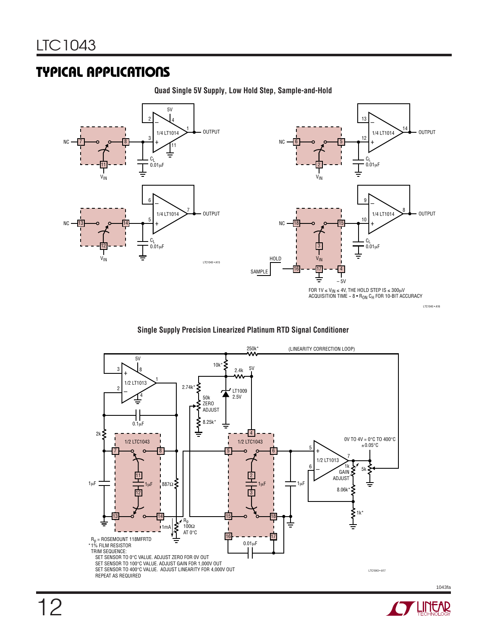**Quad Single 5V Supply, Low Hold Step, Sample-and-Hold**



#### **Single Supply Precision Linearized Platinum RTD Signal Conditioner**



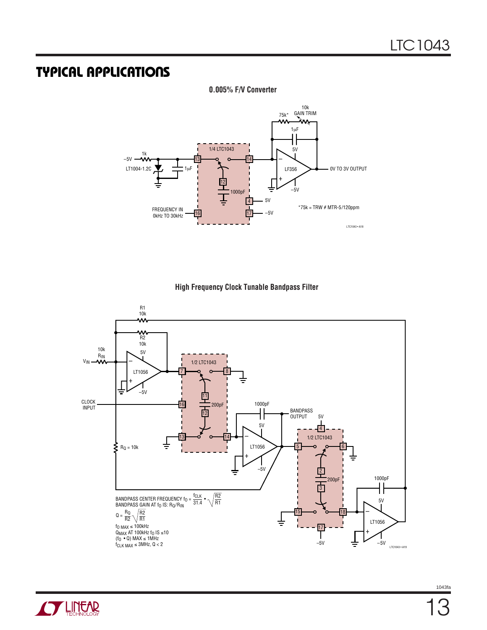**0.005% F/V Converter**



**High Frequency Clock Tunable Bandpass Filter**



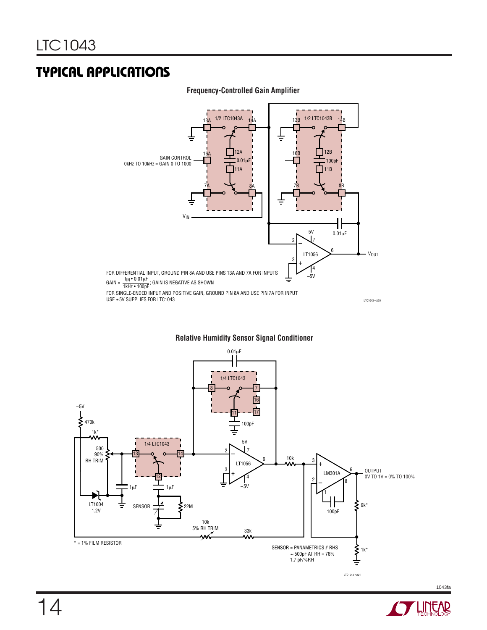

#### **Frequency-Controlled Gain Amplifier**

**Relative Humidity Sensor Signal Conditioner**



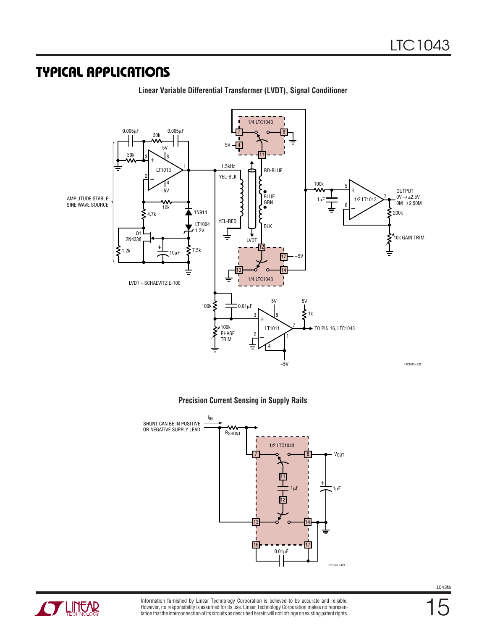

**Linear Variable Differential Transformer (LVDT), Signal Conditioner**



Information furnished by Linear Technology Corporation is believed to be accurate and reliable. However, no responsibility is assumed for its use. Linear Technology Corporation makes no representation that the interconnection of its circuits as described herein will not infringe on existing patent rights.